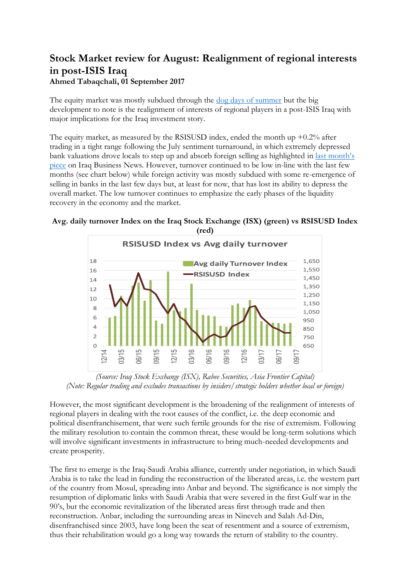## **Stock Market review for August: Realignment of regional interests in post-ISIS Iraq Ahmed Tabaqchali, 01 September 2017**

The equity market was mostly subdued through the [dog days of summer](http://news.nationalgeographic.com/2015/07/150710-dog-days-summer-sirius-star-astronomy-weather-language/) but the big development to note is the realignment of interests of regional players in a post-ISIS Iraq with major implications for the Iraq investment story.

The equity market, as measured by the RSISUSD index, ended the month up  $+0.2\%$  after trading in a tight range following the July sentiment turnaround, in which extremely depressed bank valuations drove locals to step up and absorb foreign selling as highlighted in [last month's](http://www.iraq-businessnews.com/2017/08/07/stock-market-review-for-july-foreigners-selling-locals-buying/)  [piece](http://www.iraq-businessnews.com/2017/08/07/stock-market-review-for-july-foreigners-selling-locals-buying/) on Iraq Business News. However, turnover continued to be low in-line with the last few months (see chart below) while foreign activity was mostly subdued with some re-emergence of selling in banks in the last few days but, at least for now, that has lost its ability to depress the overall market. The low turnover continues to emphasize the early phases of the liquidity recovery in the economy and the market.

## **Avg. daily turnover Index on the Iraq Stock Exchange (ISX) (green) vs RSISUSD Index (red)**



*(Source: Iraq Stock Exchange (ISX), Rabee Securities, Asia Frontier Capital) (Note: Regular trading and excludes transactions by insiders/strategic holders whether local or foreign)*

However, the most significant development is the broadening of the realignment of interests of regional players in dealing with the root causes of the conflict, i.e. the deep economic and political disenfranchisement, that were such fertile grounds for the rise of extremism. Following the military resolution to contain the common threat, these would be long-term solutions which will involve significant investments in infrastructure to bring much-needed developments and create prosperity.

The first to emerge is the Iraq-Saudi Arabia alliance, currently under negotiation, in which Saudi Arabia is to take the lead in funding the reconstruction of the liberated areas, i.e. the western part of the country from Mosul, spreading into Anbar and beyond. The significance is not simply the resumption of diplomatic links with Saudi Arabia that were severed in the first Gulf war in the 90's, but the economic revitalization of the liberated areas first through trade and then reconstruction. Anbar, including the surrounding areas in Nineveh and Salah Ad-Din, disenfranchised since 2003, have long been the seat of resentment and a source of extremism, thus their rehabilitation would go a long way towards the return of stability to the country.